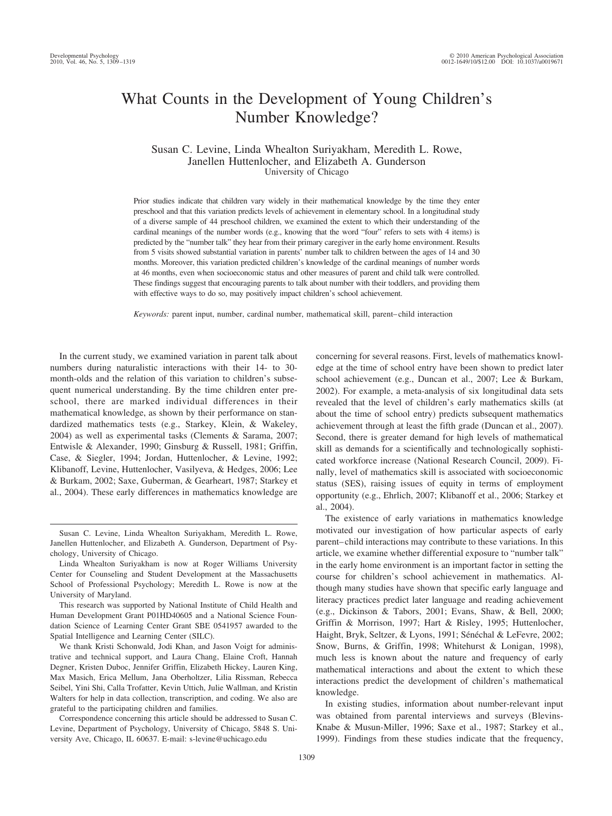# What Counts in the Development of Young Children's Number Knowledge?

## Susan C. Levine, Linda Whealton Suriyakham, Meredith L. Rowe, Janellen Huttenlocher, and Elizabeth A. Gunderson University of Chicago

Prior studies indicate that children vary widely in their mathematical knowledge by the time they enter preschool and that this variation predicts levels of achievement in elementary school. In a longitudinal study of a diverse sample of 44 preschool children, we examined the extent to which their understanding of the cardinal meanings of the number words (e.g., knowing that the word "four" refers to sets with 4 items) is predicted by the "number talk" they hear from their primary caregiver in the early home environment. Results from 5 visits showed substantial variation in parents' number talk to children between the ages of 14 and 30 months. Moreover, this variation predicted children's knowledge of the cardinal meanings of number words at 46 months, even when socioeconomic status and other measures of parent and child talk were controlled. These findings suggest that encouraging parents to talk about number with their toddlers, and providing them with effective ways to do so, may positively impact children's school achievement.

*Keywords:* parent input, number, cardinal number, mathematical skill, parent– child interaction

In the current study, we examined variation in parent talk about numbers during naturalistic interactions with their 14- to 30 month-olds and the relation of this variation to children's subsequent numerical understanding. By the time children enter preschool, there are marked individual differences in their mathematical knowledge, as shown by their performance on standardized mathematics tests (e.g., Starkey, Klein, & Wakeley, 2004) as well as experimental tasks (Clements & Sarama, 2007; Entwisle & Alexander, 1990; Ginsburg & Russell, 1981; Griffin, Case, & Siegler, 1994; Jordan, Huttenlocher, & Levine, 1992; Klibanoff, Levine, Huttenlocher, Vasilyeva, & Hedges, 2006; Lee & Burkam, 2002; Saxe, Guberman, & Gearheart, 1987; Starkey et al., 2004). These early differences in mathematics knowledge are

This research was supported by National Institute of Child Health and Human Development Grant P01HD40605 and a National Science Foundation Science of Learning Center Grant SBE 0541957 awarded to the Spatial Intelligence and Learning Center (SILC).

We thank Kristi Schonwald, Jodi Khan, and Jason Voigt for administrative and technical support, and Laura Chang, Elaine Croft, Hannah Degner, Kristen Duboc, Jennifer Griffin, Elizabeth Hickey, Lauren King, Max Masich, Erica Mellum, Jana Oberholtzer, Lilia Rissman, Rebecca Seibel, Yini Shi, Calla Trofatter, Kevin Uttich, Julie Wallman, and Kristin Walters for help in data collection, transcription, and coding. We also are grateful to the participating children and families.

Correspondence concerning this article should be addressed to Susan C. Levine, Department of Psychology, University of Chicago, 5848 S. University Ave, Chicago, IL 60637. E-mail: s-levine@uchicago.edu

concerning for several reasons. First, levels of mathematics knowledge at the time of school entry have been shown to predict later school achievement (e.g., Duncan et al., 2007; Lee & Burkam, 2002). For example, a meta-analysis of six longitudinal data sets revealed that the level of children's early mathematics skills (at about the time of school entry) predicts subsequent mathematics achievement through at least the fifth grade (Duncan et al., 2007). Second, there is greater demand for high levels of mathematical skill as demands for a scientifically and technologically sophisticated workforce increase (National Research Council, 2009). Finally, level of mathematics skill is associated with socioeconomic status (SES), raising issues of equity in terms of employment opportunity (e.g., Ehrlich, 2007; Klibanoff et al., 2006; Starkey et al., 2004).

The existence of early variations in mathematics knowledge motivated our investigation of how particular aspects of early parent– child interactions may contribute to these variations. In this article, we examine whether differential exposure to "number talk" in the early home environment is an important factor in setting the course for children's school achievement in mathematics. Although many studies have shown that specific early language and literacy practices predict later language and reading achievement (e.g., Dickinson & Tabors, 2001; Evans, Shaw, & Bell, 2000; Griffin & Morrison, 1997; Hart & Risley, 1995; Huttenlocher, Haight, Bryk, Seltzer, & Lyons, 1991; Sénéchal & LeFevre, 2002; Snow, Burns, & Griffin, 1998; Whitehurst & Lonigan, 1998), much less is known about the nature and frequency of early mathematical interactions and about the extent to which these interactions predict the development of children's mathematical knowledge.

In existing studies, information about number-relevant input was obtained from parental interviews and surveys (Blevins-Knabe & Musun-Miller, 1996; Saxe et al., 1987; Starkey et al., 1999). Findings from these studies indicate that the frequency,

Susan C. Levine, Linda Whealton Suriyakham, Meredith L. Rowe, Janellen Huttenlocher, and Elizabeth A. Gunderson, Department of Psychology, University of Chicago.

Linda Whealton Suriyakham is now at Roger Williams University Center for Counseling and Student Development at the Massachusetts School of Professional Psychology; Meredith L. Rowe is now at the University of Maryland.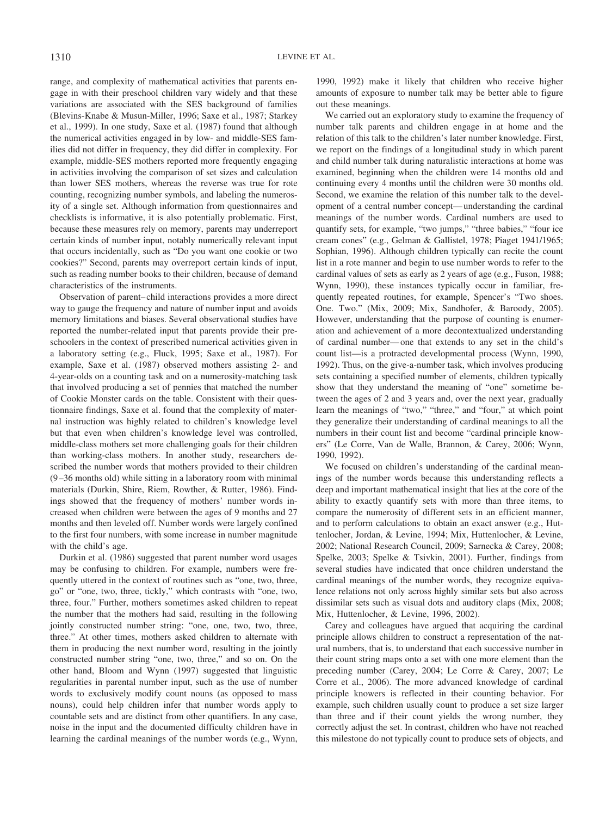range, and complexity of mathematical activities that parents engage in with their preschool children vary widely and that these variations are associated with the SES background of families (Blevins-Knabe & Musun-Miller, 1996; Saxe et al., 1987; Starkey et al., 1999). In one study, Saxe et al. (1987) found that although the numerical activities engaged in by low- and middle-SES families did not differ in frequency, they did differ in complexity. For example, middle-SES mothers reported more frequently engaging in activities involving the comparison of set sizes and calculation than lower SES mothers, whereas the reverse was true for rote counting, recognizing number symbols, and labeling the numerosity of a single set. Although information from questionnaires and checklists is informative, it is also potentially problematic. First, because these measures rely on memory, parents may underreport certain kinds of number input, notably numerically relevant input that occurs incidentally, such as "Do you want one cookie or two cookies?" Second, parents may overreport certain kinds of input, such as reading number books to their children, because of demand characteristics of the instruments.

Observation of parent– child interactions provides a more direct way to gauge the frequency and nature of number input and avoids memory limitations and biases. Several observational studies have reported the number-related input that parents provide their preschoolers in the context of prescribed numerical activities given in a laboratory setting (e.g., Fluck, 1995; Saxe et al., 1987). For example, Saxe et al. (1987) observed mothers assisting 2- and 4-year-olds on a counting task and on a numerosity-matching task that involved producing a set of pennies that matched the number of Cookie Monster cards on the table. Consistent with their questionnaire findings, Saxe et al. found that the complexity of maternal instruction was highly related to children's knowledge level but that even when children's knowledge level was controlled, middle-class mothers set more challenging goals for their children than working-class mothers. In another study, researchers described the number words that mothers provided to their children (9 –36 months old) while sitting in a laboratory room with minimal materials (Durkin, Shire, Riem, Rowther, & Rutter, 1986). Findings showed that the frequency of mothers' number words increased when children were between the ages of 9 months and 27 months and then leveled off. Number words were largely confined to the first four numbers, with some increase in number magnitude with the child's age.

Durkin et al. (1986) suggested that parent number word usages may be confusing to children. For example, numbers were frequently uttered in the context of routines such as "one, two, three, go" or "one, two, three, tickly," which contrasts with "one, two, three, four." Further, mothers sometimes asked children to repeat the number that the mothers had said, resulting in the following jointly constructed number string: "one, one, two, two, three, three." At other times, mothers asked children to alternate with them in producing the next number word, resulting in the jointly constructed number string "one, two, three," and so on. On the other hand, Bloom and Wynn (1997) suggested that linguistic regularities in parental number input, such as the use of number words to exclusively modify count nouns (as opposed to mass nouns), could help children infer that number words apply to countable sets and are distinct from other quantifiers. In any case, noise in the input and the documented difficulty children have in learning the cardinal meanings of the number words (e.g., Wynn, 1990, 1992) make it likely that children who receive higher amounts of exposure to number talk may be better able to figure out these meanings.

We carried out an exploratory study to examine the frequency of number talk parents and children engage in at home and the relation of this talk to the children's later number knowledge. First, we report on the findings of a longitudinal study in which parent and child number talk during naturalistic interactions at home was examined, beginning when the children were 14 months old and continuing every 4 months until the children were 30 months old. Second, we examine the relation of this number talk to the development of a central number concept— understanding the cardinal meanings of the number words. Cardinal numbers are used to quantify sets, for example, "two jumps," "three babies," "four ice cream cones" (e.g., Gelman & Gallistel, 1978; Piaget 1941/1965; Sophian, 1996). Although children typically can recite the count list in a rote manner and begin to use number words to refer to the cardinal values of sets as early as 2 years of age (e.g., Fuson, 1988; Wynn, 1990), these instances typically occur in familiar, frequently repeated routines, for example, Spencer's "Two shoes. One. Two." (Mix, 2009; Mix, Sandhofer, & Baroody, 2005). However, understanding that the purpose of counting is enumeration and achievement of a more decontextualized understanding of cardinal number— one that extends to any set in the child's count list—is a protracted developmental process (Wynn, 1990, 1992). Thus, on the give-a-number task, which involves producing sets containing a specified number of elements, children typically show that they understand the meaning of "one" sometime between the ages of 2 and 3 years and, over the next year, gradually learn the meanings of "two," "three," and "four," at which point they generalize their understanding of cardinal meanings to all the numbers in their count list and become "cardinal principle knowers" (Le Corre, Van de Walle, Brannon, & Carey, 2006; Wynn, 1990, 1992).

We focused on children's understanding of the cardinal meanings of the number words because this understanding reflects a deep and important mathematical insight that lies at the core of the ability to exactly quantify sets with more than three items, to compare the numerosity of different sets in an efficient manner, and to perform calculations to obtain an exact answer (e.g., Huttenlocher, Jordan, & Levine, 1994; Mix, Huttenlocher, & Levine, 2002; National Research Council, 2009; Sarnecka & Carey, 2008; Spelke, 2003; Spelke & Tsivkin, 2001). Further, findings from several studies have indicated that once children understand the cardinal meanings of the number words, they recognize equivalence relations not only across highly similar sets but also across dissimilar sets such as visual dots and auditory claps (Mix, 2008; Mix, Huttenlocher, & Levine, 1996, 2002).

Carey and colleagues have argued that acquiring the cardinal principle allows children to construct a representation of the natural numbers, that is, to understand that each successive number in their count string maps onto a set with one more element than the preceding number (Carey, 2004; Le Corre & Carey, 2007; Le Corre et al., 2006). The more advanced knowledge of cardinal principle knowers is reflected in their counting behavior. For example, such children usually count to produce a set size larger than three and if their count yields the wrong number, they correctly adjust the set. In contrast, children who have not reached this milestone do not typically count to produce sets of objects, and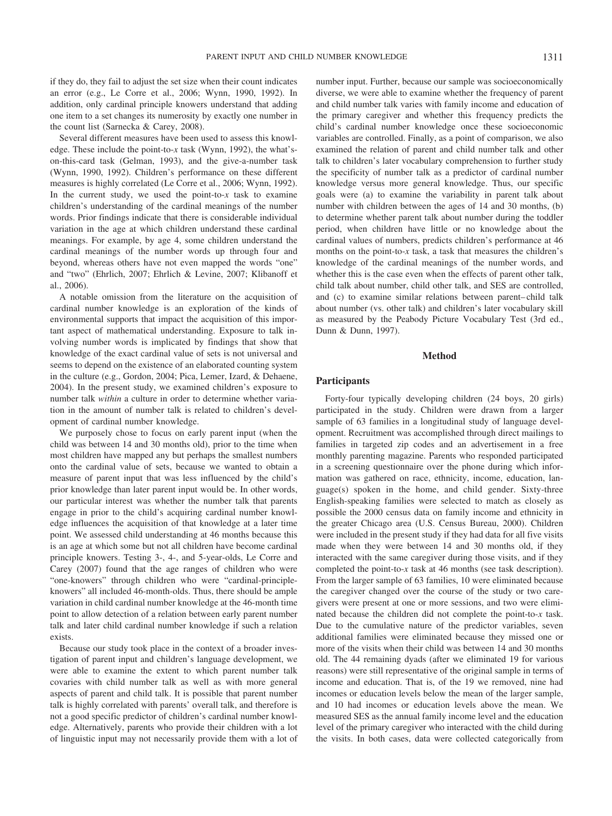if they do, they fail to adjust the set size when their count indicates an error (e.g., Le Corre et al., 2006; Wynn, 1990, 1992). In addition, only cardinal principle knowers understand that adding one item to a set changes its numerosity by exactly one number in the count list (Sarnecka & Carey, 2008).

Several different measures have been used to assess this knowledge. These include the point-to-*x* task (Wynn, 1992), the what'son-this-card task (Gelman, 1993), and the give-a-number task (Wynn, 1990, 1992). Children's performance on these different measures is highly correlated (Le Corre et al., 2006; Wynn, 1992). In the current study, we used the point-to- $x$  task to examine children's understanding of the cardinal meanings of the number words. Prior findings indicate that there is considerable individual variation in the age at which children understand these cardinal meanings. For example, by age 4, some children understand the cardinal meanings of the number words up through four and beyond, whereas others have not even mapped the words "one" and "two" (Ehrlich, 2007; Ehrlich & Levine, 2007; Klibanoff et al., 2006).

A notable omission from the literature on the acquisition of cardinal number knowledge is an exploration of the kinds of environmental supports that impact the acquisition of this important aspect of mathematical understanding. Exposure to talk involving number words is implicated by findings that show that knowledge of the exact cardinal value of sets is not universal and seems to depend on the existence of an elaborated counting system in the culture (e.g., Gordon, 2004; Pica, Lemer, Izard, & Dehaene, 2004). In the present study, we examined children's exposure to number talk *within* a culture in order to determine whether variation in the amount of number talk is related to children's development of cardinal number knowledge.

We purposely chose to focus on early parent input (when the child was between 14 and 30 months old), prior to the time when most children have mapped any but perhaps the smallest numbers onto the cardinal value of sets, because we wanted to obtain a measure of parent input that was less influenced by the child's prior knowledge than later parent input would be. In other words, our particular interest was whether the number talk that parents engage in prior to the child's acquiring cardinal number knowledge influences the acquisition of that knowledge at a later time point. We assessed child understanding at 46 months because this is an age at which some but not all children have become cardinal principle knowers. Testing 3-, 4-, and 5-year-olds, Le Corre and Carey (2007) found that the age ranges of children who were "one-knowers" through children who were "cardinal-principleknowers" all included 46-month-olds. Thus, there should be ample variation in child cardinal number knowledge at the 46-month time point to allow detection of a relation between early parent number talk and later child cardinal number knowledge if such a relation exists.

Because our study took place in the context of a broader investigation of parent input and children's language development, we were able to examine the extent to which parent number talk covaries with child number talk as well as with more general aspects of parent and child talk. It is possible that parent number talk is highly correlated with parents' overall talk, and therefore is not a good specific predictor of children's cardinal number knowledge. Alternatively, parents who provide their children with a lot of linguistic input may not necessarily provide them with a lot of number input. Further, because our sample was socioeconomically diverse, we were able to examine whether the frequency of parent and child number talk varies with family income and education of the primary caregiver and whether this frequency predicts the child's cardinal number knowledge once these socioeconomic variables are controlled. Finally, as a point of comparison, we also examined the relation of parent and child number talk and other talk to children's later vocabulary comprehension to further study the specificity of number talk as a predictor of cardinal number knowledge versus more general knowledge. Thus, our specific goals were (a) to examine the variability in parent talk about number with children between the ages of 14 and 30 months, (b) to determine whether parent talk about number during the toddler period, when children have little or no knowledge about the cardinal values of numbers, predicts children's performance at 46 months on the point-to-*x* task, a task that measures the children's knowledge of the cardinal meanings of the number words, and whether this is the case even when the effects of parent other talk, child talk about number, child other talk, and SES are controlled, and (c) to examine similar relations between parent– child talk about number (vs. other talk) and children's later vocabulary skill as measured by the Peabody Picture Vocabulary Test (3rd ed., Dunn & Dunn, 1997).

## **Method**

# **Participants**

Forty-four typically developing children (24 boys, 20 girls) participated in the study. Children were drawn from a larger sample of 63 families in a longitudinal study of language development. Recruitment was accomplished through direct mailings to families in targeted zip codes and an advertisement in a free monthly parenting magazine. Parents who responded participated in a screening questionnaire over the phone during which information was gathered on race, ethnicity, income, education, language(s) spoken in the home, and child gender. Sixty-three English-speaking families were selected to match as closely as possible the 2000 census data on family income and ethnicity in the greater Chicago area (U.S. Census Bureau, 2000). Children were included in the present study if they had data for all five visits made when they were between 14 and 30 months old, if they interacted with the same caregiver during those visits, and if they completed the point-to-*x* task at 46 months (see task description). From the larger sample of 63 families, 10 were eliminated because the caregiver changed over the course of the study or two caregivers were present at one or more sessions, and two were eliminated because the children did not complete the point-to-*x* task. Due to the cumulative nature of the predictor variables, seven additional families were eliminated because they missed one or more of the visits when their child was between 14 and 30 months old. The 44 remaining dyads (after we eliminated 19 for various reasons) were still representative of the original sample in terms of income and education. That is, of the 19 we removed, nine had incomes or education levels below the mean of the larger sample, and 10 had incomes or education levels above the mean. We measured SES as the annual family income level and the education level of the primary caregiver who interacted with the child during the visits. In both cases, data were collected categorically from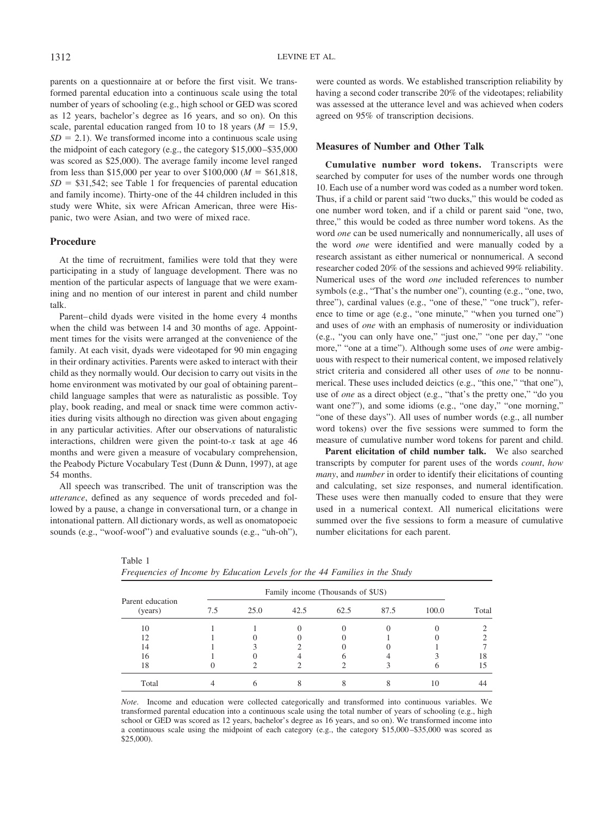parents on a questionnaire at or before the first visit. We transformed parental education into a continuous scale using the total number of years of schooling (e.g., high school or GED was scored as 12 years, bachelor's degree as 16 years, and so on). On this scale, parental education ranged from 10 to 18 years  $(M = 15.9)$ ,  $SD = 2.1$ ). We transformed income into a continuous scale using the midpoint of each category (e.g., the category \$15,000 –\$35,000 was scored as \$25,000). The average family income level ranged from less than \$15,000 per year to over \$100,000 ( $M =$  \$61,818,  $SD = $31,542$ ; see Table 1 for frequencies of parental education and family income). Thirty-one of the 44 children included in this study were White, six were African American, three were Hispanic, two were Asian, and two were of mixed race.

### **Procedure**

At the time of recruitment, families were told that they were participating in a study of language development. There was no mention of the particular aspects of language that we were examining and no mention of our interest in parent and child number talk.

Parent– child dyads were visited in the home every 4 months when the child was between 14 and 30 months of age. Appointment times for the visits were arranged at the convenience of the family. At each visit, dyads were videotaped for 90 min engaging in their ordinary activities. Parents were asked to interact with their child as they normally would. Our decision to carry out visits in the home environment was motivated by our goal of obtaining parent– child language samples that were as naturalistic as possible. Toy play, book reading, and meal or snack time were common activities during visits although no direction was given about engaging in any particular activities. After our observations of naturalistic interactions, children were given the point-to-*x* task at age 46 months and were given a measure of vocabulary comprehension, the Peabody Picture Vocabulary Test (Dunn & Dunn, 1997), at age 54 months.

All speech was transcribed. The unit of transcription was the *utterance*, defined as any sequence of words preceded and followed by a pause, a change in conversational turn, or a change in intonational pattern. All dictionary words, as well as onomatopoeic sounds (e.g., "woof-woof") and evaluative sounds (e.g., "uh-oh"),

Table 1

were counted as words. We established transcription reliability by having a second coder transcribe 20% of the videotapes; reliability was assessed at the utterance level and was achieved when coders agreed on 95% of transcription decisions.

## **Measures of Number and Other Talk**

**Cumulative number word tokens.** Transcripts were searched by computer for uses of the number words one through 10. Each use of a number word was coded as a number word token. Thus, if a child or parent said "two ducks," this would be coded as one number word token, and if a child or parent said "one, two, three," this would be coded as three number word tokens. As the word *one* can be used numerically and nonnumerically, all uses of the word *one* were identified and were manually coded by a research assistant as either numerical or nonnumerical. A second researcher coded 20% of the sessions and achieved 99% reliability. Numerical uses of the word *one* included references to number symbols (e.g., "That's the number one"), counting (e.g., "one, two, three"), cardinal values (e.g., "one of these," "one truck"), reference to time or age (e.g., "one minute," "when you turned one") and uses of *one* with an emphasis of numerosity or individuation (e.g., "you can only have one," "just one," "one per day," "one more," "one at a time"). Although some uses of *one* were ambiguous with respect to their numerical content, we imposed relatively strict criteria and considered all other uses of *one* to be nonnumerical. These uses included deictics (e.g., "this one," "that one"), use of *one* as a direct object (e.g., "that's the pretty one," "do you want one?"), and some idioms (e.g., "one day," "one morning," "one of these days"). All uses of number words (e.g., all number word tokens) over the five sessions were summed to form the measure of cumulative number word tokens for parent and child.

**Parent elicitation of child number talk.** We also searched transcripts by computer for parent uses of the words *count*, *how many*, and *number* in order to identify their elicitations of counting and calculating, set size responses, and numeral identification. These uses were then manually coded to ensure that they were used in a numerical context. All numerical elicitations were summed over the five sessions to form a measure of cumulative number elicitations for each parent.

| Frequencies of Income by Education Levels for the 44 Families in the Study |
|----------------------------------------------------------------------------|
| Family income (Thousands of \$US)                                          |

|                             | Family income (Thousands of \$US) |      |      |      |      |       |       |
|-----------------------------|-----------------------------------|------|------|------|------|-------|-------|
| Parent education<br>(years) | 7.5                               | 25.0 | 42.5 | 62.5 | 87.5 | 100.0 | Total |
| 10                          |                                   |      |      |      |      |       |       |
| 12                          |                                   |      |      |      |      |       |       |
| 14                          |                                   |      |      |      |      |       |       |
| 16                          |                                   |      |      |      |      |       | 18    |
| 18                          |                                   |      |      |      |      |       |       |
| Total                       |                                   |      |      |      |      |       |       |

*Note*. Income and education were collected categorically and transformed into continuous variables. We transformed parental education into a continuous scale using the total number of years of schooling (e.g., high school or GED was scored as 12 years, bachelor's degree as 16 years, and so on). We transformed income into a continuous scale using the midpoint of each category (e.g., the category \$15,000 –\$35,000 was scored as \$25,000).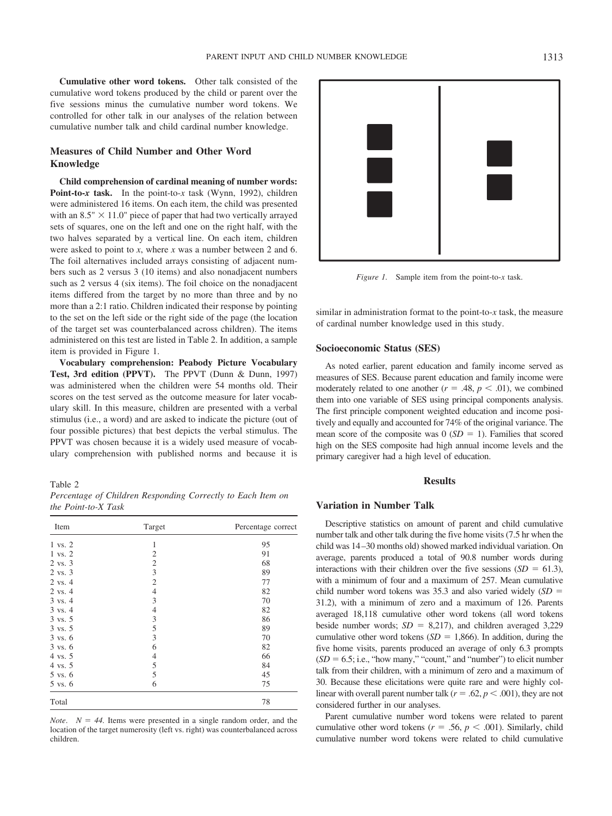**Cumulative other word tokens.** Other talk consisted of the cumulative word tokens produced by the child or parent over the five sessions minus the cumulative number word tokens. We controlled for other talk in our analyses of the relation between cumulative number talk and child cardinal number knowledge.

# **Measures of Child Number and Other Word Knowledge**

**Child comprehension of cardinal meaning of number words: Point-to-***x* **task.** In the point-to-*x* task (Wynn, 1992), children were administered 16 items. On each item, the child was presented with an  $8.5" \times 11.0"$  piece of paper that had two vertically arrayed sets of squares, one on the left and one on the right half, with the two halves separated by a vertical line. On each item, children were asked to point to *x*, where *x* was a number between 2 and 6. The foil alternatives included arrays consisting of adjacent numbers such as 2 versus 3 (10 items) and also nonadjacent numbers such as 2 versus 4 (six items). The foil choice on the nonadjacent items differed from the target by no more than three and by no more than a 2:1 ratio. Children indicated their response by pointing to the set on the left side or the right side of the page (the location of the target set was counterbalanced across children). The items administered on this test are listed in Table 2. In addition, a sample item is provided in Figure 1.

**Vocabulary comprehension: Peabody Picture Vocabulary Test, 3rd edition (PPVT).** The PPVT (Dunn & Dunn, 1997) was administered when the children were 54 months old. Their scores on the test served as the outcome measure for later vocabulary skill. In this measure, children are presented with a verbal stimulus (i.e., a word) and are asked to indicate the picture (out of four possible pictures) that best depicts the verbal stimulus. The PPVT was chosen because it is a widely used measure of vocabulary comprehension with published norms and because it is

Table 2

*Percentage of Children Responding Correctly to Each Item on the Point-to-X Task*

| Item               | Target         | Percentage correct |
|--------------------|----------------|--------------------|
| $1 \text{ vs. } 2$ |                | 95                 |
| $1 \text{ vs. } 2$ | 2              | 91                 |
| 2 vs. 3            | $\mathfrak{2}$ | 68                 |
| $2 \text{ vs. } 3$ | 3              | 89                 |
| $2$ vs. $4$        | $\mathfrak{2}$ | 77                 |
| $2$ vs. $4$        | $\overline{4}$ | 82                 |
| 3 vs. 4            | 3              | 70                 |
| $3 \text{ vs. } 4$ | 4              | 82                 |
| 3 vs. 5            |                | 86                 |
| $3 \text{ vs. } 5$ | $\frac{3}{5}$  | 89                 |
| $3 \text{ vs. } 6$ | $\overline{3}$ | 70                 |
| $3 \text{ vs. } 6$ | 6              | 82                 |
| 4 vs. 5            | 4              | 66                 |
| 4 vs. 5            | 5              | 84                 |
| 5 vs. 6            | $\overline{5}$ | 45                 |
| 5 vs. 6            | 6              | 75                 |
| Total              |                | 78                 |

*Note.*  $N = 44$ . Items were presented in a single random order, and the location of the target numerosity (left vs. right) was counterbalanced across children.



*Figure 1.* Sample item from the point-to-*x* task.

similar in administration format to the point-to-*x* task, the measure of cardinal number knowledge used in this study.

## **Socioeconomic Status (SES)**

As noted earlier, parent education and family income served as measures of SES. Because parent education and family income were moderately related to one another ( $r = .48$ ,  $p < .01$ ), we combined them into one variable of SES using principal components analysis. The first principle component weighted education and income positively and equally and accounted for 74% of the original variance. The mean score of the composite was  $0$  ( $SD = 1$ ). Families that scored high on the SES composite had high annual income levels and the primary caregiver had a high level of education.

## **Results**

#### **Variation in Number Talk**

Descriptive statistics on amount of parent and child cumulative number talk and other talk during the five home visits (7.5 hr when the child was 14 –30 months old) showed marked individual variation. On average, parents produced a total of 90.8 number words during interactions with their children over the five sessions  $(SD = 61.3)$ , with a minimum of four and a maximum of 257. Mean cumulative child number word tokens was 35.3 and also varied widely (*SD* 31.2), with a minimum of zero and a maximum of 126. Parents averaged 18,118 cumulative other word tokens (all word tokens beside number words;  $SD = 8,217$ ), and children averaged 3,229 cumulative other word tokens  $(SD = 1,866)$ . In addition, during the five home visits, parents produced an average of only 6.3 prompts  $(SD = 6.5; i.e., "how many," "count," and "number") to elicit number"$ talk from their children, with a minimum of zero and a maximum of 30. Because these elicitations were quite rare and were highly collinear with overall parent number talk ( $r = .62$ ,  $p < .001$ ), they are not considered further in our analyses.

Parent cumulative number word tokens were related to parent cumulative other word tokens ( $r = .56$ ,  $p < .001$ ). Similarly, child cumulative number word tokens were related to child cumulative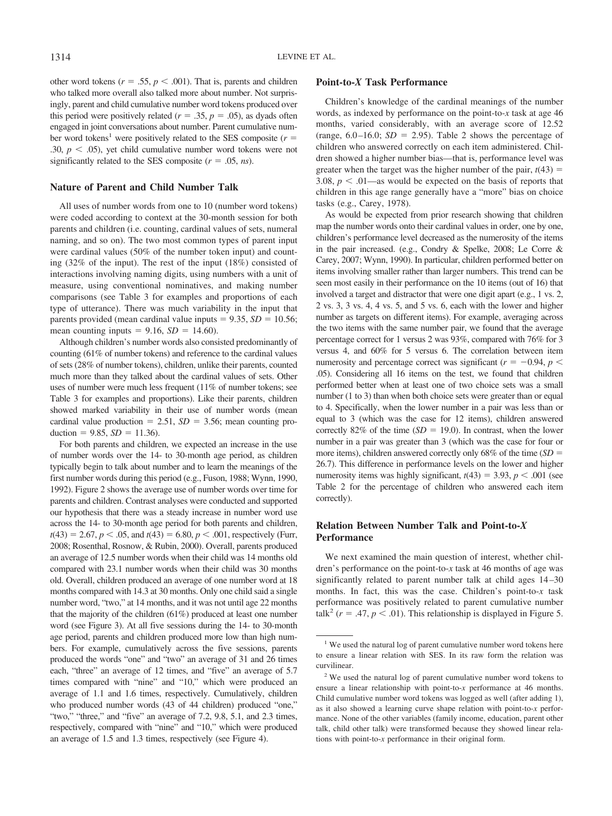other word tokens ( $r = .55$ ,  $p < .001$ ). That is, parents and children who talked more overall also talked more about number. Not surprisingly, parent and child cumulative number word tokens produced over this period were positively related ( $r = .35$ ,  $p = .05$ ), as dyads often engaged in joint conversations about number. Parent cumulative number word tokens<sup>1</sup> were positively related to the SES composite ( $r =$ .30,  $p < .05$ ), yet child cumulative number word tokens were not significantly related to the SES composite  $(r = .05, ns)$ .

## **Nature of Parent and Child Number Talk**

All uses of number words from one to 10 (number word tokens) were coded according to context at the 30-month session for both parents and children (i.e. counting, cardinal values of sets, numeral naming, and so on). The two most common types of parent input were cardinal values (50% of the number token input) and counting (32% of the input). The rest of the input (18%) consisted of interactions involving naming digits, using numbers with a unit of measure, using conventional nominatives, and making number comparisons (see Table 3 for examples and proportions of each type of utterance). There was much variability in the input that parents provided (mean cardinal value inputs  $= 9.35$ ,  $SD = 10.56$ ; mean counting inputs  $= 9.16$ ,  $SD = 14.60$ .

Although children's number words also consisted predominantly of counting (61% of number tokens) and reference to the cardinal values of sets (28% of number tokens), children, unlike their parents, counted much more than they talked about the cardinal values of sets. Other uses of number were much less frequent (11% of number tokens; see Table 3 for examples and proportions). Like their parents, children showed marked variability in their use of number words (mean cardinal value production  $= 2.51$ ,  $SD = 3.56$ ; mean counting production = 9.85,  $SD = 11.36$ ).

For both parents and children, we expected an increase in the use of number words over the 14- to 30-month age period, as children typically begin to talk about number and to learn the meanings of the first number words during this period (e.g., Fuson, 1988; Wynn, 1990, 1992). Figure 2 shows the average use of number words over time for parents and children. Contrast analyses were conducted and supported our hypothesis that there was a steady increase in number word use across the 14- to 30-month age period for both parents and children,  $t(43) = 2.67, p < .05,$  and  $t(43) = 6.80, p < .001$ , respectively (Furr, 2008; Rosenthal, Rosnow, & Rubin, 2000). Overall, parents produced an average of 12.5 number words when their child was 14 months old compared with 23.1 number words when their child was 30 months old. Overall, children produced an average of one number word at 18 months compared with 14.3 at 30 months. Only one child said a single number word, "two," at 14 months, and it was not until age 22 months that the majority of the children (61%) produced at least one number word (see Figure 3). At all five sessions during the 14- to 30-month age period, parents and children produced more low than high numbers. For example, cumulatively across the five sessions, parents produced the words "one" and "two" an average of 31 and 26 times each, "three" an average of 12 times, and "five" an average of 5.7 times compared with "nine" and "10," which were produced an average of 1.1 and 1.6 times, respectively. Cumulatively, children who produced number words (43 of 44 children) produced "one," "two," "three," and "five" an average of 7.2, 9.8, 5.1, and 2.3 times, respectively, compared with "nine" and "10," which were produced an average of 1.5 and 1.3 times, respectively (see Figure 4).

## **Point-to-***X* **Task Performance**

Children's knowledge of the cardinal meanings of the number words, as indexed by performance on the point-to-*x* task at age 46 months, varied considerably, with an average score of 12.52 (range,  $6.0-16.0$ ;  $SD = 2.95$ ). Table 2 shows the percentage of children who answered correctly on each item administered. Children showed a higher number bias—that is, performance level was greater when the target was the higher number of the pair,  $t(43)$  = 3.08,  $p < 0.01$ —as would be expected on the basis of reports that children in this age range generally have a "more" bias on choice tasks (e.g., Carey, 1978).

As would be expected from prior research showing that children map the number words onto their cardinal values in order, one by one, children's performance level decreased as the numerosity of the items in the pair increased. (e.g., Condry & Spelke, 2008; Le Corre & Carey, 2007; Wynn, 1990). In particular, children performed better on items involving smaller rather than larger numbers. This trend can be seen most easily in their performance on the 10 items (out of 16) that involved a target and distractor that were one digit apart (e.g., 1 vs. 2, 2 vs. 3, 3 vs. 4, 4 vs. 5, and 5 vs. 6, each with the lower and higher number as targets on different items). For example, averaging across the two items with the same number pair, we found that the average percentage correct for 1 versus 2 was 93%, compared with 76% for 3 versus 4, and 60% for 5 versus 6. The correlation between item numerosity and percentage correct was significant ( $r = -0.94$ ,  $p <$ .05). Considering all 16 items on the test, we found that children performed better when at least one of two choice sets was a small number (1 to 3) than when both choice sets were greater than or equal to 4. Specifically, when the lower number in a pair was less than or equal to 3 (which was the case for 12 items), children answered correctly 82% of the time  $(SD = 19.0)$ . In contrast, when the lower number in a pair was greater than 3 (which was the case for four or more items), children answered correctly only 68% of the time (*SD* 26.7). This difference in performance levels on the lower and higher numerosity items was highly significant,  $t(43) = 3.93$ ,  $p < .001$  (see Table 2 for the percentage of children who answered each item correctly).

# **Relation Between Number Talk and Point-to-***X* **Performance**

We next examined the main question of interest, whether children's performance on the point-to-*x* task at 46 months of age was significantly related to parent number talk at child ages  $14-30$ months. In fact, this was the case. Children's point-to-*x* task performance was positively related to parent cumulative number talk<sup>2</sup> ( $r = .47$ ,  $p < .01$ ). This relationship is displayed in Figure 5.

<sup>&</sup>lt;sup>1</sup> We used the natural log of parent cumulative number word tokens here to ensure a linear relation with SES. In its raw form the relation was curvilinear.

<sup>2</sup> We used the natural log of parent cumulative number word tokens to ensure a linear relationship with point-to-*x* performance at 46 months. Child cumulative number word tokens was logged as well (after adding 1), as it also showed a learning curve shape relation with point-to-*x* performance. None of the other variables (family income, education, parent other talk, child other talk) were transformed because they showed linear relations with point-to-*x* performance in their original form.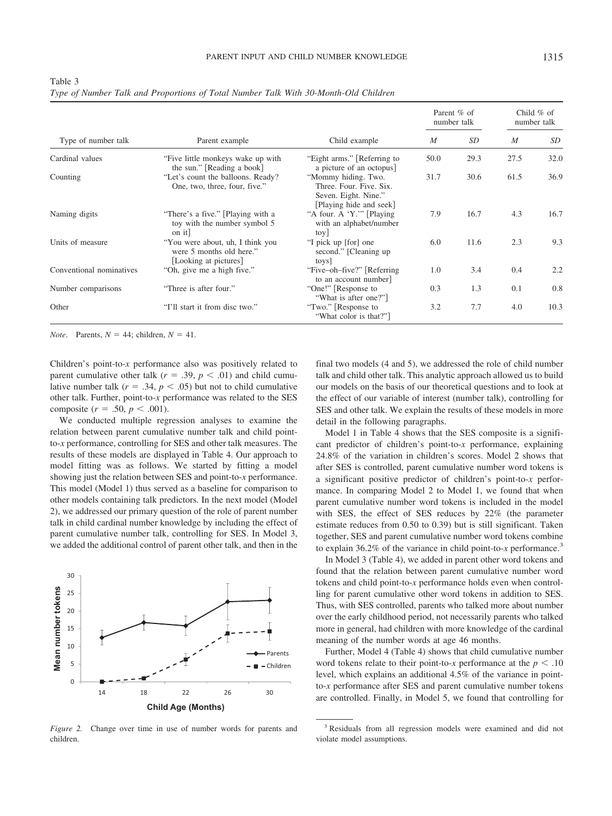| Table 3 |  |                                                                                     |
|---------|--|-------------------------------------------------------------------------------------|
|         |  | Type of Number Talk and Proportions of Total Number Talk With 30-Month-Old Children |

|                          |                                                                                       |                                                                                                   | Parent % of<br>number talk |      | Child $%$ of<br>number talk |      |
|--------------------------|---------------------------------------------------------------------------------------|---------------------------------------------------------------------------------------------------|----------------------------|------|-----------------------------|------|
| Type of number talk      | Parent example                                                                        | Child example                                                                                     | $\boldsymbol{M}$           | SD   | $\boldsymbol{M}$            | SD   |
| Cardinal values          | "Five little monkeys wake up with"<br>the sun." [Reading a book]                      | "Eight arms." [Referring to<br>a picture of an octopus]                                           | 50.0                       | 29.3 | 27.5                        | 32.0 |
| Counting                 | "Let's count the balloons. Ready?<br>One, two, three, four, five."                    | "Mommy hiding. Two.<br>Three. Four. Five. Six.<br>Seven. Eight. Nine."<br>[Playing hide and seek] | 31.7                       | 30.6 | 61.5                        | 36.9 |
| Naming digits            | "There's a five." [Playing with a<br>toy with the number symbol 5<br>on it]           | "A four. A 'Y.'" [Playing]<br>with an alphabet/number<br>toy                                      | 7.9                        | 16.7 | 4.3                         | 16.7 |
| Units of measure         | "You were about, uh, I think you<br>were 5 months old here."<br>[Looking at pictures] | "I pick up [for] one<br>second." [Cleaning up]<br>toys]                                           | 6.0                        | 11.6 | 2.3                         | 9.3  |
| Conventional nominatives | "Oh, give me a high five."                                                            | "Five-oh-five?" [Referring]<br>to an account number                                               | 1.0                        | 3.4  | 0.4                         | 2.2  |
| Number comparisons       | "Three is after four."                                                                | "One!" [Response to<br>"What is after one?"                                                       | 0.3                        | 1.3  | 0.1                         | 0.8  |
| Other                    | "I'll start it from disc two."                                                        | "Two." [Response to<br>"What color is that?"                                                      | 3.2                        | 7.7  | 4.0                         | 10.3 |

*Note.* Parents,  $N = 44$ ; children,  $N = 41$ .

Children's point-to-*x* performance also was positively related to parent cumulative other talk ( $r = .39$ ,  $p < .01$ ) and child cumulative number talk ( $r = .34$ ,  $p < .05$ ) but not to child cumulative other talk. Further, point-to-*x* performance was related to the SES composite ( $r = .50$ ,  $p < .001$ ).

We conducted multiple regression analyses to examine the relation between parent cumulative number talk and child pointto-*x* performance, controlling for SES and other talk measures. The results of these models are displayed in Table 4. Our approach to model fitting was as follows. We started by fitting a model showing just the relation between SES and point-to-*x* performance. This model (Model 1) thus served as a baseline for comparison to other models containing talk predictors. In the next model (Model 2), we addressed our primary question of the role of parent number talk in child cardinal number knowledge by including the effect of parent cumulative number talk, controlling for SES. In Model 3, we added the additional control of parent other talk, and then in the

## 30 **Mean number tokens**  Mean number tokens 25 20 15 10 Parents 5 Children  $\Omega$ 14 18 22 26 30 **Child Age (Months)**

*Figure 2.* Change over time in use of number words for parents and children.

final two models (4 and 5), we addressed the role of child number talk and child other talk. This analytic approach allowed us to build our models on the basis of our theoretical questions and to look at the effect of our variable of interest (number talk), controlling for SES and other talk. We explain the results of these models in more detail in the following paragraphs.

Model 1 in Table 4 shows that the SES composite is a significant predictor of children's point-to-*x* performance, explaining 24.8% of the variation in children's scores. Model 2 shows that after SES is controlled, parent cumulative number word tokens is a significant positive predictor of children's point-to-*x* performance. In comparing Model 2 to Model 1, we found that when parent cumulative number word tokens is included in the model with SES, the effect of SES reduces by 22% (the parameter estimate reduces from 0.50 to 0.39) but is still significant. Taken together, SES and parent cumulative number word tokens combine to explain 36.2% of the variance in child point-to-*x* performance.3

In Model 3 (Table 4), we added in parent other word tokens and found that the relation between parent cumulative number word tokens and child point-to-*x* performance holds even when controlling for parent cumulative other word tokens in addition to SES. Thus, with SES controlled, parents who talked more about number over the early childhood period, not necessarily parents who talked more in general, had children with more knowledge of the cardinal meaning of the number words at age 46 months.

Further, Model 4 (Table 4) shows that child cumulative number word tokens relate to their point-to-*x* performance at the  $p < .10$ level, which explains an additional 4.5% of the variance in pointto-*x* performance after SES and parent cumulative number tokens are controlled. Finally, in Model 5, we found that controlling for

<sup>3</sup> Residuals from all regression models were examined and did not violate model assumptions.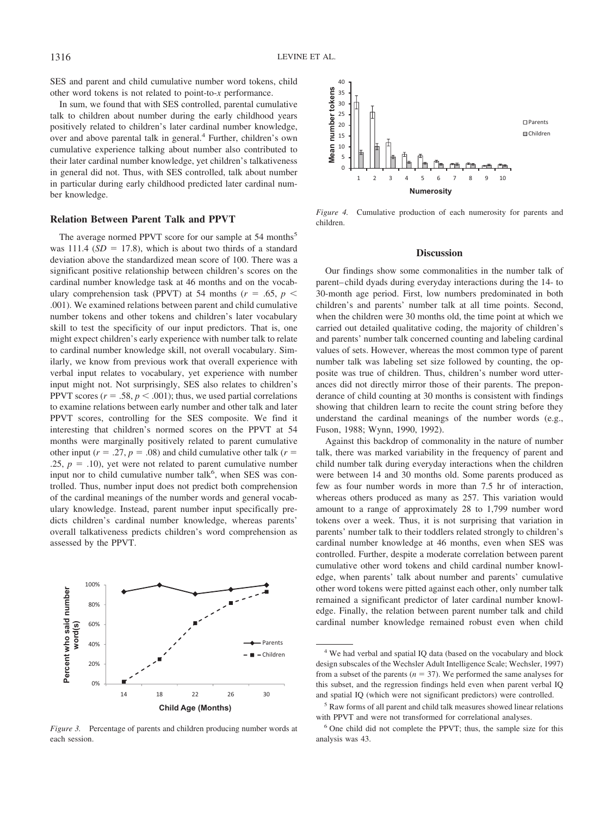SES and parent and child cumulative number word tokens, child other word tokens is not related to point-to-*x* performance.

In sum, we found that with SES controlled, parental cumulative talk to children about number during the early childhood years positively related to children's later cardinal number knowledge, over and above parental talk in general.4 Further, children's own cumulative experience talking about number also contributed to their later cardinal number knowledge, yet children's talkativeness in general did not. Thus, with SES controlled, talk about number in particular during early childhood predicted later cardinal number knowledge.

## **Relation Between Parent Talk and PPVT**

The average normed PPVT score for our sample at 54 months<sup>5</sup> was  $111.4$  ( $SD = 17.8$ ), which is about two thirds of a standard deviation above the standardized mean score of 100. There was a significant positive relationship between children's scores on the cardinal number knowledge task at 46 months and on the vocabulary comprehension task (PPVT) at 54 months ( $r = .65$ ,  $p <$ .001). We examined relations between parent and child cumulative number tokens and other tokens and children's later vocabulary skill to test the specificity of our input predictors. That is, one might expect children's early experience with number talk to relate to cardinal number knowledge skill, not overall vocabulary. Similarly, we know from previous work that overall experience with verbal input relates to vocabulary, yet experience with number input might not. Not surprisingly, SES also relates to children's PPVT scores ( $r = .58$ ,  $p < .001$ ); thus, we used partial correlations to examine relations between early number and other talk and later PPVT scores, controlling for the SES composite. We find it interesting that children's normed scores on the PPVT at 54 months were marginally positively related to parent cumulative other input ( $r = .27$ ,  $p = .08$ ) and child cumulative other talk ( $r =$ .25,  $p = .10$ ), yet were not related to parent cumulative number input nor to child cumulative number talk<sup>6</sup>, when SES was controlled. Thus, number input does not predict both comprehension of the cardinal meanings of the number words and general vocabulary knowledge. Instead, parent number input specifically predicts children's cardinal number knowledge, whereas parents' overall talkativeness predicts children's word comprehension as assessed by the PPVT.



*Figure 3.* Percentage of parents and children producing number words at each session.



*Figure 4.* Cumulative production of each numerosity for parents and children.

#### **Discussion**

Our findings show some commonalities in the number talk of parent– child dyads during everyday interactions during the 14- to 30-month age period. First, low numbers predominated in both children's and parents' number talk at all time points. Second, when the children were 30 months old, the time point at which we carried out detailed qualitative coding, the majority of children's and parents' number talk concerned counting and labeling cardinal values of sets. However, whereas the most common type of parent number talk was labeling set size followed by counting, the opposite was true of children. Thus, children's number word utterances did not directly mirror those of their parents. The preponderance of child counting at 30 months is consistent with findings showing that children learn to recite the count string before they understand the cardinal meanings of the number words (e.g., Fuson, 1988; Wynn, 1990, 1992).

Against this backdrop of commonality in the nature of number talk, there was marked variability in the frequency of parent and child number talk during everyday interactions when the children were between 14 and 30 months old. Some parents produced as few as four number words in more than 7.5 hr of interaction, whereas others produced as many as 257. This variation would amount to a range of approximately 28 to 1,799 number word tokens over a week. Thus, it is not surprising that variation in parents' number talk to their toddlers related strongly to children's cardinal number knowledge at 46 months, even when SES was controlled. Further, despite a moderate correlation between parent cumulative other word tokens and child cardinal number knowledge, when parents' talk about number and parents' cumulative other word tokens were pitted against each other, only number talk remained a significant predictor of later cardinal number knowledge. Finally, the relation between parent number talk and child cardinal number knowledge remained robust even when child

<sup>4</sup> We had verbal and spatial IQ data (based on the vocabulary and block design subscales of the Wechsler Adult Intelligence Scale; Wechsler, 1997) from a subset of the parents ( $n = 37$ ). We performed the same analyses for this subset, and the regression findings held even when parent verbal IQ and spatial IQ (which were not significant predictors) were controlled.

<sup>5</sup> Raw forms of all parent and child talk measures showed linear relations with PPVT and were not transformed for correlational analyses.

<sup>6</sup> One child did not complete the PPVT; thus, the sample size for this analysis was 43.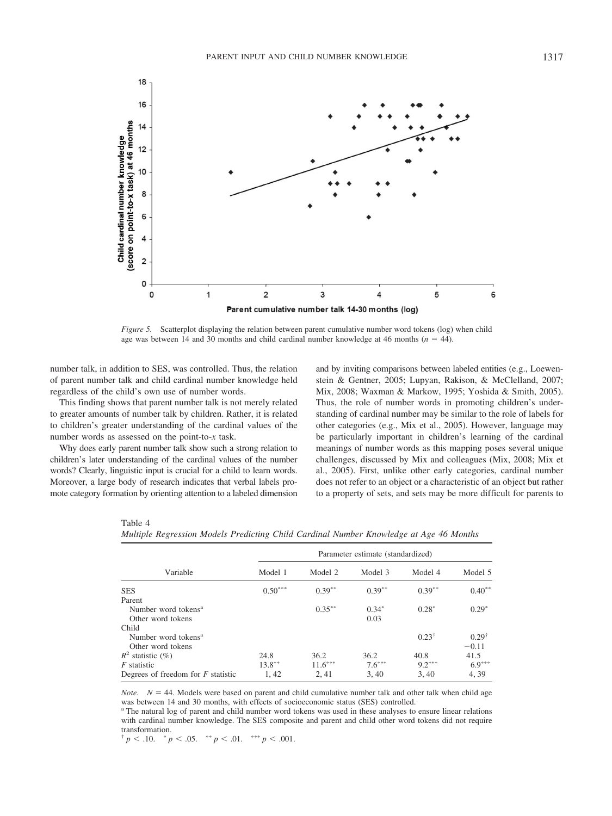

*Figure 5.* Scatterplot displaying the relation between parent cumulative number word tokens (log) when child age was between 14 and 30 months and child cardinal number knowledge at 46 months  $(n = 44)$ .

number talk, in addition to SES, was controlled. Thus, the relation of parent number talk and child cardinal number knowledge held regardless of the child's own use of number words.

This finding shows that parent number talk is not merely related to greater amounts of number talk by children. Rather, it is related to children's greater understanding of the cardinal values of the number words as assessed on the point-to-*x* task.

Why does early parent number talk show such a strong relation to children's later understanding of the cardinal values of the number words? Clearly, linguistic input is crucial for a child to learn words. Moreover, a large body of research indicates that verbal labels promote category formation by orienting attention to a labeled dimension and by inviting comparisons between labeled entities (e.g., Loewenstein & Gentner, 2005; Lupyan, Rakison, & McClelland, 2007; Mix, 2008; Waxman & Markow, 1995; Yoshida & Smith, 2005). Thus, the role of number words in promoting children's understanding of cardinal number may be similar to the role of labels for other categories (e.g., Mix et al., 2005). However, language may be particularly important in children's learning of the cardinal meanings of number words as this mapping poses several unique challenges, discussed by Mix and colleagues (Mix, 2008; Mix et al., 2005). First, unlike other early categories, cardinal number does not refer to an object or a characteristic of an object but rather to a property of sets, and sets may be more difficult for parents to

| Table 4 |  |  |  |                                                                                        |  |  |
|---------|--|--|--|----------------------------------------------------------------------------------------|--|--|
|         |  |  |  | Multiple Regression Models Predicting Child Cardinal Number Knowledge at Age 46 Months |  |  |

|                                      | Parameter estimate (standardized) |           |          |          |                  |  |  |  |
|--------------------------------------|-----------------------------------|-----------|----------|----------|------------------|--|--|--|
| Variable                             | Model 1                           | Model 2   | Model 3  | Model 4  | Model 5          |  |  |  |
| <b>SES</b>                           | $0.50***$                         | $0.39**$  | $0.39**$ | $0.39**$ | $0.40**$         |  |  |  |
| Parent                               |                                   |           |          |          |                  |  |  |  |
| Number word tokens <sup>a</sup>      |                                   | $0.35***$ | $0.34*$  | $0.28*$  | $0.29*$          |  |  |  |
| Other word tokens                    |                                   |           | 0.03     |          |                  |  |  |  |
| Child                                |                                   |           |          |          |                  |  |  |  |
| Number word tokens <sup>a</sup>      |                                   |           |          | $0.23^+$ | $0.29^{\dagger}$ |  |  |  |
| Other word tokens                    |                                   |           |          |          | $-0.11$          |  |  |  |
| $R^2$ statistic $(\%)$               | 24.8                              | 36.2      | 36.2     | 40.8     | 41.5             |  |  |  |
| $F$ statistic                        | $13.8***$                         | $11.6***$ | $7.6***$ | $9.2***$ | $6.9***$         |  |  |  |
| Degrees of freedom for $F$ statistic | 1, 42                             | 2, 41     | 3,40     | 3,40     | 4.39             |  |  |  |

*Note.*  $N = 44$ . Models were based on parent and child cumulative number talk and other talk when child age was between 14 and 30 months, with effects of socioeconomic status (SES) controlled.

<sup>a</sup> The natural log of parent and child number word tokens was used in these analyses to ensure linear relations with cardinal number knowledge. The SES composite and parent and child other word tokens did not require transformation.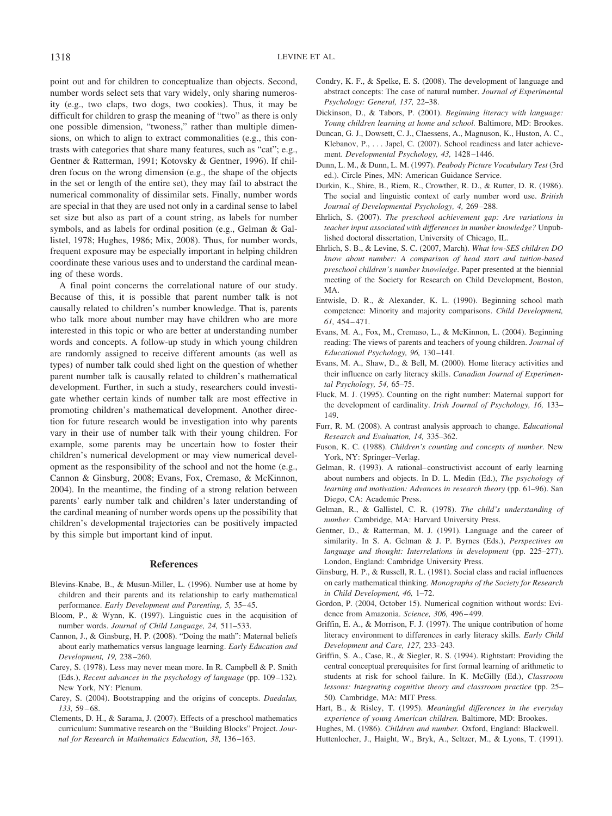point out and for children to conceptualize than objects. Second, number words select sets that vary widely, only sharing numerosity (e.g., two claps, two dogs, two cookies). Thus, it may be difficult for children to grasp the meaning of "two" as there is only one possible dimension, "twoness," rather than multiple dimensions, on which to align to extract commonalities (e.g., this contrasts with categories that share many features, such as "cat"; e.g., Gentner & Ratterman, 1991; Kotovsky & Gentner, 1996). If children focus on the wrong dimension (e.g., the shape of the objects in the set or length of the entire set), they may fail to abstract the numerical commonality of dissimilar sets. Finally, number words are special in that they are used not only in a cardinal sense to label set size but also as part of a count string, as labels for number symbols, and as labels for ordinal position (e.g., Gelman & Gallistel, 1978; Hughes, 1986; Mix, 2008). Thus, for number words, frequent exposure may be especially important in helping children coordinate these various uses and to understand the cardinal meaning of these words.

A final point concerns the correlational nature of our study. Because of this, it is possible that parent number talk is not causally related to children's number knowledge. That is, parents who talk more about number may have children who are more interested in this topic or who are better at understanding number words and concepts. A follow-up study in which young children are randomly assigned to receive different amounts (as well as types) of number talk could shed light on the question of whether parent number talk is causally related to children's mathematical development. Further, in such a study, researchers could investigate whether certain kinds of number talk are most effective in promoting children's mathematical development. Another direction for future research would be investigation into why parents vary in their use of number talk with their young children. For example, some parents may be uncertain how to foster their children's numerical development or may view numerical development as the responsibility of the school and not the home (e.g., Cannon & Ginsburg, 2008; Evans, Fox, Cremaso, & McKinnon, 2004). In the meantime, the finding of a strong relation between parents' early number talk and children's later understanding of the cardinal meaning of number words opens up the possibility that children's developmental trajectories can be positively impacted by this simple but important kind of input.

#### **References**

- Blevins-Knabe, B., & Musun-Miller, L. (1996). Number use at home by children and their parents and its relationship to early mathematical performance. *Early Development and Parenting, 5,* 35– 45.
- Bloom, P., & Wynn, K. (1997). Linguistic cues in the acquisition of number words. *Journal of Child Language, 24,* 511–533.
- Cannon, J., & Ginsburg, H. P. (2008). "Doing the math": Maternal beliefs about early mathematics versus language learning. *Early Education and Development, 19,* 238 –260.
- Carey, S. (1978). Less may never mean more. In R. Campbell & P. Smith (Eds.), *Recent advances in the psychology of language* (pp. 109 –132)*.* New York, NY: Plenum.
- Carey, S. (2004). Bootstrapping and the origins of concepts. *Daedalus, 133,* 59 – 68.
- Clements, D. H., & Sarama, J. (2007). Effects of a preschool mathematics curriculum: Summative research on the "Building Blocks" Project. *Journal for Research in Mathematics Education, 38,* 136 –163.
- Condry, K. F., & Spelke, E. S. (2008). The development of language and abstract concepts: The case of natural number. *Journal of Experimental Psychology: General, 137,* 22–38.
- Dickinson, D., & Tabors, P. (2001). *Beginning literacy with language: Young children learning at home and school.* Baltimore, MD: Brookes.
- Duncan, G. J., Dowsett, C. J., Claessens, A., Magnuson, K., Huston, A. C., Klebanov, P., . . . Japel, C. (2007). School readiness and later achievement. *Developmental Psychology, 43,* 1428 –1446.
- Dunn, L. M., & Dunn, L. M. (1997). *Peabody Picture Vocabulary Test* (3rd ed.). Circle Pines, MN: American Guidance Service.
- Durkin, K., Shire, B., Riem, R., Crowther, R. D., & Rutter, D. R. (1986). The social and linguistic context of early number word use. *British Journal of Developmental Psychology, 4,* 269 –288.
- Ehrlich, S. (2007). *The preschool achievement gap: Are variations in teacher input associated with differences in number knowledge?* Unpublished doctoral dissertation, University of Chicago, IL.
- Ehrlich, S. B., & Levine, S. C. (2007, March). *What low-SES children DO know about number: A comparison of head start and tuition-based preschool children's number knowledge*. Paper presented at the biennial meeting of the Society for Research on Child Development, Boston, MA.
- Entwisle, D. R., & Alexander, K. L. (1990). Beginning school math competence: Minority and majority comparisons. *Child Development, 61,* 454 – 471.
- Evans, M. A., Fox, M., Cremaso, L., & McKinnon, L. (2004). Beginning reading: The views of parents and teachers of young children. *Journal of Educational Psychology, 96,* 130 –141.
- Evans, M. A., Shaw, D., & Bell, M. (2000). Home literacy activities and their influence on early literacy skills. *Canadian Journal of Experimental Psychology, 54,* 65–75.
- Fluck, M. J. (1995). Counting on the right number: Maternal support for the development of cardinality. *Irish Journal of Psychology, 16,* 133– 149.
- Furr, R. M. (2008). A contrast analysis approach to change. *Educational Research and Evaluation, 14,* 335–362.
- Fuson, K. C. (1988). *Children's counting and concepts of number.* New York, NY: Springer–Verlag.
- Gelman, R. (1993). A rational– constructivist account of early learning about numbers and objects. In D. L. Medin (Ed.), *The psychology of learning and motivation: Advances in research theory* (pp. 61–96). San Diego, CA: Academic Press.
- Gelman, R., & Gallistel, C. R. (1978). *The child's understanding of number.* Cambridge, MA: Harvard University Press.
- Gentner, D., & Ratterman, M. J. (1991). Language and the career of similarity. In S. A. Gelman & J. P. Byrnes (Eds.), *Perspectives on language and thought: Interrelations in development* (pp. 225–277). London, England: Cambridge University Press.
- Ginsburg, H. P., & Russell, R. L. (1981). Social class and racial influences on early mathematical thinking. *Monographs of the Society for Research in Child Development, 46,* 1–72.
- Gordon, P. (2004, October 15). Numerical cognition without words: Evidence from Amazonia. *Science, 306,* 496 – 499.
- Griffin, E. A., & Morrison, F. J. (1997). The unique contribution of home literacy environment to differences in early literacy skills. *Early Child Development and Care, 127,* 233–243.
- Griffin, S. A., Case, R., & Siegler, R. S. (1994). Rightstart: Providing the central conceptual prerequisites for first formal learning of arithmetic to students at risk for school failure. In K. McGilly (Ed.), *Classroom lessons: Integrating cognitive theory and classroom practice* (pp. 25– 50)*.* Cambridge, MA: MIT Press.
- Hart, B., & Risley, T. (1995). *Meaningful differences in the everyday experience of young American children.* Baltimore, MD: Brookes.

Hughes, M. (1986). *Children and number.* Oxford, England: Blackwell.

Huttenlocher, J., Haight, W., Bryk, A., Seltzer, M., & Lyons, T. (1991).